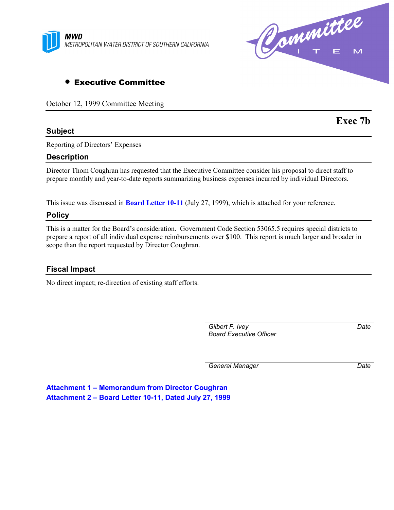



# • Executive Committee

October 12, 1999 Committee Meeting

## **Subject**

**Exec 7b**

Reporting of Directors' Expenses

## **Description**

Director Thom Coughran has requested that the Executive Committee consider his proposal to direct staff to prepare monthly and year-to-date reports summarizing business expenses incurred by individual Directors.

This issue was discussed in **Board Letter 10-11** (July 27, 1999), which is attached for your reference.

## **Policy**

This is a matter for the Board's consideration. Government Code Section 53065.5 requires special districts to prepare a report of all individual expense reimbursements over \$100. This report is much larger and broader in scope than the report requested by Director Coughran.

## **Fiscal Impact**

No direct impact; re-direction of existing staff efforts.

*Gilbert F. Ivey Board Executive Officer* *Date*

*General Manager Date*

**Attachment 1 – Memorandum from Director Coughran Attachment 2 – Board Letter 10-11, Dated July 27, 1999**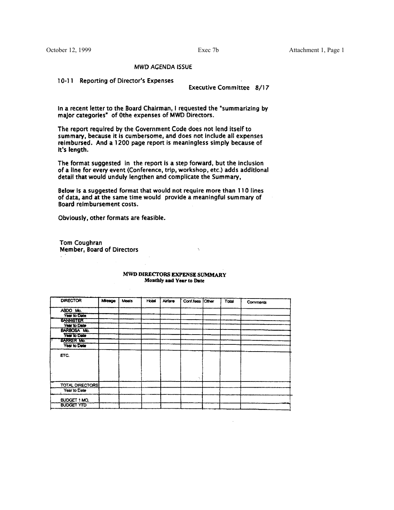October 12, 1999

Exec 7b

## **MWD AGENDA ISSUE**

10-11 Reporting of Director's Expenses

**Executive Committee 8/17** 

In a recent letter to the Board Chairman, I requested the "summarizing by major categories" of 0the expenses of MWD Directors.

The report required by the Government Code does not lend itself to summary, because it is cumbersome, and does not include all expenses reimbursed. And a 1200 page report is meaningless simply because of it's length.

The format suggested in the report is a step forward, but the inclusion of a line for every event (Conference, trip, workshop, etc.) adds additional detail that would unduly lengthen and complicate the Summary,

Below is a suggested format that would not require more than 110 lines of data, and at the same time would provide a meaningful summary of Board reimbursement costs.

Obviously, other formats are feasible.

Tom Coughran Member, Board of Directors

| <b>DIRECTOR</b>        | Micage | Meals | Hotel | Airfare | Conf.fees Other | Total | Comments |
|------------------------|--------|-------|-------|---------|-----------------|-------|----------|
| ABDO Mo.               |        |       |       |         |                 |       |          |
| Year to Date           |        |       |       |         |                 |       |          |
| <b>BANNISTER</b>       |        |       |       |         |                 |       |          |
| Year to Date           |        |       |       |         |                 |       |          |
| BARBOSA Mo.            |        |       |       |         |                 |       |          |
| <b>Year to Date</b>    |        |       |       |         |                 |       |          |
| <b>BARKER Mo.</b>      |        |       |       |         |                 |       |          |
| Year to Date           |        |       |       |         |                 |       |          |
| ETC.                   |        |       |       |         |                 |       |          |
|                        |        |       |       |         |                 |       |          |
| <b>TOTAL DIRECTORS</b> |        |       |       |         |                 |       |          |
| Year to Date           |        |       |       |         |                 |       |          |
| BUDGET 1 MO.           |        |       |       |         |                 |       |          |
| <b>BUDGET YTD</b>      |        |       |       |         |                 |       |          |

#### MWD DIRECTORS EXPENSE SUMMARY Monthly and Year to Date

 $\boldsymbol{\gamma}$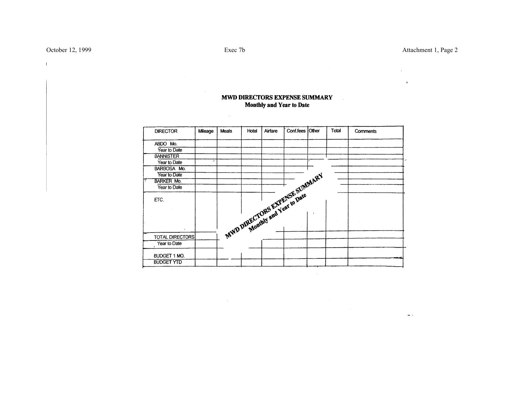$\mathbb{L}$ 

 $\sim$ 

s.  $\mathbf{r}$ 

#### Conf.fees Other Total **DIRECTOR** Mileage Meals Hotel Airfare Comments ABDO Mo. Year to Date **BANNISTER** Year to Date MWD DIRECTORS EXPENSE SUMMARY BARBOSA Mo. Year to Date **BARKER Mo.** Year to Date ETC.  $\mathbf{r}$ TOTAL DIRECTORS Year to Date BUDGET 1 MO. **BUDGET YTD**

## MWD DIRECTORS EXPENSE SUMMARY **Monthly and Year to Date**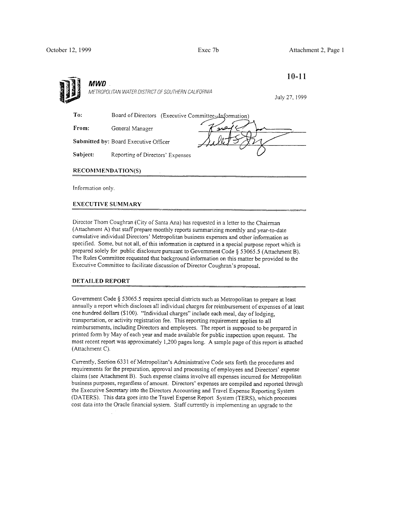October 12, 1999 Exec 7b Attachment 2, Page 1

| <b>MWD</b> |                                                      | $10 - 11$     |
|------------|------------------------------------------------------|---------------|
|            | METROPOLITAN WATER DISTRICT OF SOUTHERN CALIFORNIA   | July 27, 1999 |
| To:        | Board of Directors (Executive Committee-Information) |               |
| From:      | سفين<br>General Manager                              |               |
|            | Submitted by: Board Executive Officer                |               |
| Subject:   | Reporting of Directors' Expenses                     |               |
|            | <b>RECOMMENDATION(S)</b>                             |               |

Director Thom Coughran (City of Santa Ana) has requested in a letter to the Chairman (Attachment A) that staff prepare monthly reports summarizing monthly and year-to-date cumulative individual Directors' Metropolitan business expenses and other information as specified. Some, but not all, of this information is captured in a special purpose report which is prepared solely for public disclosure pursuant to Government Code § 53065.5 (Attachment B). The Rules Committee requested that background information on this matter be provided to the Executive Committee to facilitate discussion of Director Coughran's proposal.

### **DETAILED REPORT**

Government Code § 53065.5 requires special districts such as Metropolitan to prepare at least annually a report which discloses all individual charges for reimbursement of expenses of at least one hundred dollars (\$100). "Individual charges" include each meal, day of lodging, transportation, or activity registration fee. This reporting requirement applies to all reimbursements, including Directors and employees. The report is supposed to be prepared in printed form by May of each year and made available for public inspection upon request. The most recent report was approximately 1,200 pages long. A sample page of this report is attached (Attachment C).

Currently, Section 6331 of Metropolitan's Administrative Code sets forth the procedures and requirements for the preparation, approval and processing of employees and Directors' expense claims (see Attachment B). Such expense claims involve all expenses incurred for Metropolitan business purposes, regardless of amount. Directors' expenses are compiled and reported through the Executive Secretary into the Directors Accounting and Travel Expense Reporting System (DATERS). This data goes into the Travel Expense Report System (TERS), which processes cost data into the Oracle financial system. Staff currently is implementing an upgrade to the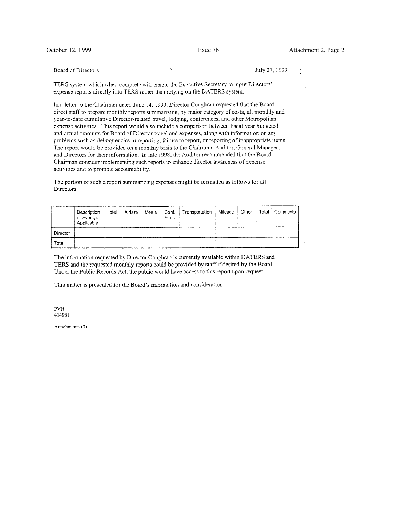Board of Directors

July 27, 1999

TERS system which when complete will enable the Executive Secretary to input Directors' expense reports directly into TERS rather than relying on the DATERS system.

 $-2-$ 

In a letter to the Chairman dated June 14, 1999, Director Coughran requested that the Board direct staff to prepare monthly reports summarizing, by major category of costs, all monthly and year-to-date cumulative Director-related travel, lodging, conferences, and other Metropolitan expense activities. This report would also include a comparison between fiscal year budgeted and actual amounts for Board of Director travel and expenses, along with information on any problems such as delinquencies in reporting, failure to report, or reporting of inappropriate items. The report would be provided on a monthly basis to the Chairman, Auditor, General Manager, and Directors for their information. In late 1998, the Auditor recommended that the Board Chairman consider implementing such reports to enhance director awareness of expense activities and to promote accountability.

The portion of such a report summarizing expenses might be formatted as follows for all Directors:

|          | Description<br>of Event, if<br>Applicable | Hotel | Airfare | Meals | Conf.<br>Fees | Transportation | Mileage | Other | Total | Comments |  |
|----------|-------------------------------------------|-------|---------|-------|---------------|----------------|---------|-------|-------|----------|--|
| Director |                                           |       |         |       |               |                |         |       |       |          |  |
| Total    |                                           |       |         |       |               |                |         |       |       |          |  |

The information requested by Director Coughran is currently available within DATERS and TERS and the requested monthly reports could be provided by staff if desired by the Board. Under the Public Records Act, the public would have access to this report upon request.

This matter is presented for the Board's information and consideration

 $\mathbb{P}\mathrm{V}\mathbb{H}$ #14961

Attachments (3)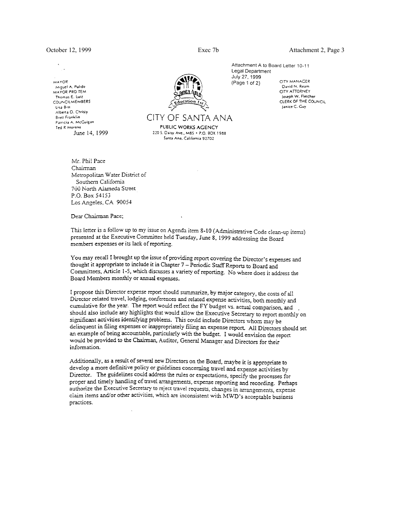**MAYOR** Miguel A. Pulido MAYOR PRO TEM Thomas E. Lutz COUNCILMEMBERS Lisa Bist Alberta O. Christy **Brett Franklin** Patricia A. McCuigan Ted R Moreno June 14, 1999 Attachment A to Board Letter 10-11 Legal Department July 27, 1999  $(Page 1 of 2)$ 

CITY MANAGER David N. Ream CITY ATTORNEY Joseph W. Fletcher CLERK OF THE COUNCIL

Janice C. Cuy

Mr. Phil Pace Chairman Metropolitan Water District of Southern California 700 North Alameda Street P.O. Box 54153 Los Angeles, CA 90054

Dear Chairman Pace;

This letter is a follow up to my issue on Agenda item 8-10 (Administrative Code clean-up items) presented at the Executive Committee held Tuesday, June 8, 1999 addressing the Board members expenses or its lack of reporting.

CITY OF SANTA ANA

PUBLIC WORKS AGENCY

220 S. Daisy Ave., M85 + P.O. BOX 1988 Santa Ana, California 92702

You may recall I brought up the issue of providing report covering the Director's expenses and thought it appropriate to include it in Chapter 7 – Periodic Staff Reports to Board and Committees, Article 1-5, which discusses a variety of reporting. No where does it address the Board Members monthly or annual expenses.

I propose this Director expense report should summarize, by major category, the costs of all Director related travel, lodging, conferences and related expense activities, both monthly and cumulative for the year. The report would reflect the FY budget vs. actual comparison, and should also include any highlights that would allow the Executive Secretary to report monthly on significant activities identifying problems. This could include Directors whom may be delinquent in filing expenses or inappropriately filing an expense report. All Directors should set an example of being accountable, particularly with the budget. I would envision the report would be provided to the Chairman, Auditor, General Manager and Directors for their information.

Additionally, as a result of several new Directors on the Board, maybe it is appropriate to develop a more definitive policy or guidelines concerning travel and expense activities by Director. The guidelines could address the rules or expectations, specify the processes for proper and timely handling of travel arrangements, expense reporting and recording. Perhaps authorize the Executive Secretary to reject travel requests, changes in arrangements, expense claim items and/or other activities, which are inconsistent with MWD's acceptable business practices.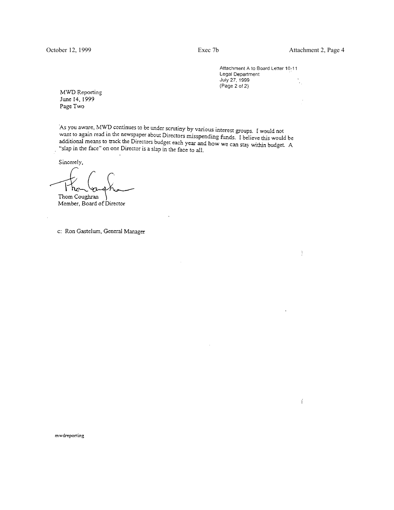¥,

 $\frac{1}{4}$ 

 $\frac{1}{2}$ 

Attachment A to Board Letter 10-11 Legal Department July 27, 1999  $(Page 2 of 2)$ 

**MWD** Reporting June 14, 1999 Page Two

As you aware, MWD continues to be under scrutiny by various interest groups. I would not As you aware, MWD continues to be under serutiny by various interest groups. I would not<br>want to again read in the newspaper about Directors misspending funds. I believe this would be<br>additional means to track the Director which is again read in the herospaper about Directors misspending funds. I believe this would be<br>additional means to track the Directors budget each year and how we can stay within budget. A<br>"slap in the face" on one Direc "slap in the face" on one Director is a slap in the face to all.

Sincerely,

 $h_{\mathcal{C}}$ 

Thom Coughran Member, Board of Director

c: Ron Gastelum, General Manager

mwdreporting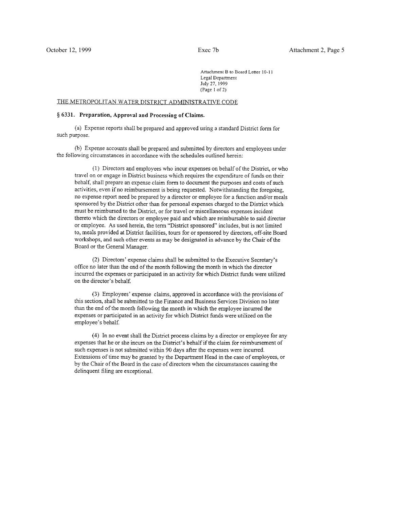Attachment B to Board Letter 10-11 Legal Department July 27, 1999 (Page 1 of 2)

### THE METROPOLITAN WATER DISTRICT ADMINISTRATIVE CODE

#### § 6331. Preparation, Approval and Processing of Claims.

(a) Expense reports shall be prepared and approved using a standard District form for such purpose.

(b) Expense accounts shall be prepared and submitted by directors and employees under the following circumstances in accordance with the schedules outlined herein:

(1) Directors and employees who incur expenses on behalf of the District, or who travel on or engage in District business which requires the expenditure of funds on their behalf, shall prepare an expense claim form to document the purposes and costs of such activities, even if no reimbursement is being requested. Notwithstanding the foregoing, no expense report need be prepared by a director or employee for a function and/or meals sponsored by the District other than for personal expenses charged to the District which must be reimbursed to the District, or for travel or miscellaneous expenses incident thereto which the directors or employee paid and which are reimbursable to said director or employee. As used herein, the term "District sponsored" includes, but is not limited to, meals provided at District facilities, tours for or sponsored by directors, off-site Board workshops, and such other events as may be designated in advance by the Chair of the Board or the General Manager.

(2) Directors' expense claims shall be submitted to the Executive Secretary's office no later than the end of the month following the month in which the director incurred the expenses or participated in an activity for which District funds were utilized on the director's behalf.

(3) Employees' expense claims, approved in accordance with the provisions of this section, shall be submitted to the Finance and Business Services Division no later than the end of the month following the month in which the employee incurred the expenses or participated in an activity for which District funds were utilized on the employee's behalf.

(4) In no event shall the District process claims by a director or employee for any expenses that he or she incurs on the District's behalf if the claim for reimbursement of such expenses is not submitted within 90 days after the expenses were incurred. Extensions of time may be granted by the Department Head in the case of employees, or by the Chair of the Board in the case of directors when the circumstances causing the delinquent filing are exceptional.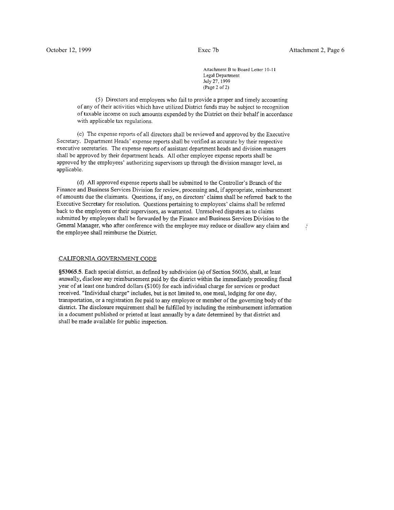$\frac{1}{2}$ 

Attachment B to Board Letter 10-11 Legal Department July 27, 1999  $(Page 2 of 2)$ 

(5) Directors and employees who fail to provide a proper and timely accounting of any of their activities which have utilized District funds may be subject to recognition of taxable income on such amounts expended by the District on their behalf in accordance with applicable tax regulations.

(c) The expense reports of all directors shall be reviewed and approved by the Executive Secretary. Department Heads' expense reports shall be verified as accurate by their respective executive secretaries. The expense reports of assistant department heads and division managers shall be approved by their department heads. All other employee expense reports shall be approved by the employees' authorizing supervisors up through the division manager level, as applicable.

(d) All approved expense reports shall be submitted to the Controller's Branch of the Finance and Business Services Division for review, processing and, if appropriate, reimbursement of amounts due the claimants. Questions, if any, on directors' claims shall be referred back to the Executive Secretary for resolution. Questions pertaining to employees' claims shall be referred back to the employees or their supervisors, as warranted. Unresolved disputes as to claims submitted by employees shall be forwarded by the Finance and Business Services Division to the General Manager, who after conference with the employee may reduce or disallow any claim and the employee shall reimburse the District.

## CALIFORNIA GOVERNMENT CODE

§53065.5. Each special district, as defined by subdivision (a) of Section 56036, shall, at least annually, disclose any reimbursement paid by the district within the immediately preceding fiscal year of at least one hundred dollars (\$100) for each individual charge for services or product received. "Individual charge" includes, but is not limited to, one meal, lodging for one day, transportation, or a registration fee paid to any employee or member of the governing body of the district. The disclosure requirement shall be fulfilled by including the reimbursement information in a document published or printed at least annually by a date determined by that district and shall be made available for public inspection.